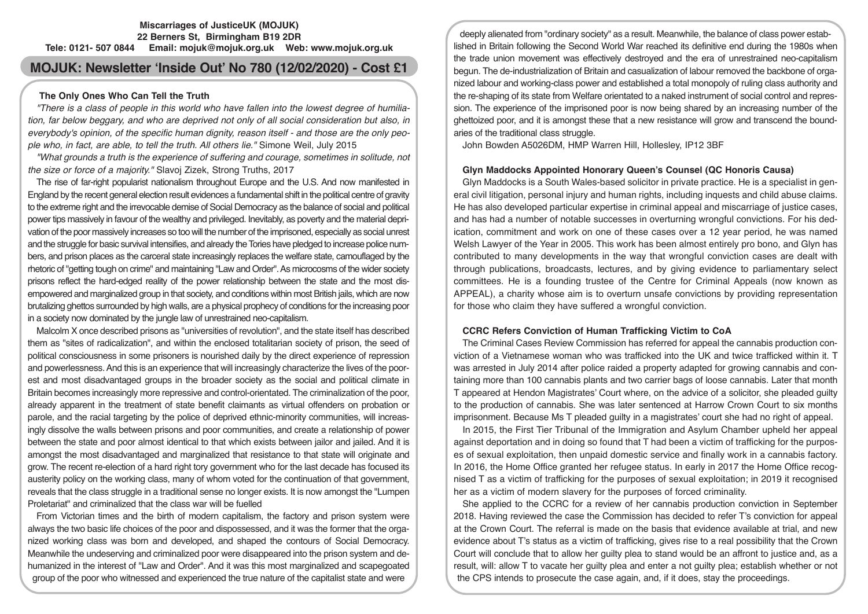## **Miscarriages of JusticeUK (MOJUK) 22 Berners St, Birmingham B19 2DR Tele: 0121- 507 0844 Email: mojuk@mojuk.org.uk Web: www.mojuk.org.uk**

# **MOJUK: Newsletter 'Inside Out' No 780 (12/02/2020) - Cost £1**

## **The Only Ones Who Can Tell the Truth**

*"There is a class of people in this world who have fallen into the lowest degree of humiliation, far below beggary, and who are deprived not only of all social consideration but also, in everybody's opinion, of the specific human dignity, reason itself - and those are the only people who, in fact, are able, to tell the truth. All others lie."* Simone Weil, July 2015

*"What grounds a truth is the experience of suffering and courage, sometimes in solitude, not the size or force of a majority."* Slavoj Zizek, Strong Truths, 2017

The rise of far-right popularist nationalism throughout Europe and the U.S. And now manifested in England by the recent general election result evidences a fundamental shift in the political centre of gravity to the extreme right and the irrevocable demise of Social Democracy as the balance of social and political power tips massively in favour of the wealthy and privileged. Inevitably, as poverty and the material deprivation of the poor massively increases so too will the number of the imprisoned, especially as social unrest and the struggle for basic survival intensifies, and already the Tories have pledged to increase police numbers, and prison places as the carceral state increasingly replaces the welfare state, camouflaged by the rhetoric of "getting tough on crime" and maintaining "Law and Order". As microcosms of the wider society prisons reflect the hard-edged reality of the power relationship between the state and the most disempowered and marginalized group in that society, and conditions within most British jails, which are now brutalizing ghettos surrounded by high walls, are a physical prophecy of conditions for the increasing poor in a society now dominated by the jungle law of unrestrained neo-capitalism.

Malcolm X once described prisons as "universities of revolution", and the state itself has described them as "sites of radicalization", and within the enclosed totalitarian society of prison, the seed of political consciousness in some prisoners is nourished daily by the direct experience of repression and powerlessness. And this is an experience that will increasingly characterize the lives of the poorest and most disadvantaged groups in the broader society as the social and political climate in Britain becomes increasingly more repressive and control-orientated. The criminalization of the poor, already apparent in the treatment of state benefit claimants as virtual offenders on probation or parole, and the racial targeting by the police of deprived ethnic-minority communities, will increasingly dissolve the walls between prisons and poor communities, and create a relationship of power between the state and poor almost identical to that which exists between jailor and jailed. And it is amongst the most disadvantaged and marginalized that resistance to that state will originate and grow. The recent re-election of a hard right tory government who for the last decade has focused its austerity policy on the working class, many of whom voted for the continuation of that government, reveals that the class struggle in a traditional sense no longer exists. It is now amongst the "Lumpen Proletariat" and criminalized that the class war will be fuelled

From Victorian times and the birth of modern capitalism, the factory and prison system were always the two basic life choices of the poor and dispossessed, and it was the former that the organized working class was born and developed, and shaped the contours of Social Democracy. Meanwhile the undeserving and criminalized poor were disappeared into the prison system and dehumanized in the interest of "Law and Order". And it was this most marginalized and scapegoated group of the poor who witnessed and experienced the true nature of the capitalist state and were

deeply alienated from "ordinary society" as a result. Meanwhile, the balance of class power established in Britain following the Second World War reached its definitive end during the 1980s when the trade union movement was effectively destroyed and the era of unrestrained neo-capitalism begun. The de-industrialization of Britain and casualization of labour removed the backbone of organized labour and working-class power and established a total monopoly of ruling class authority and the re-shaping of its state from Welfare orientated to a naked instrument of social control and repression. The experience of the imprisoned poor is now being shared by an increasing number of the ghettoized poor, and it is amongst these that a new resistance will grow and transcend the boundaries of the traditional class struggle.

John Bowden A5026DM, HMP Warren Hill, Hollesley, IP12 3BF

### **Glyn Maddocks Appointed Honorary Queen's Counsel (QC Honoris Causa)**

Glyn Maddocks is a South Wales-based solicitor in private practice. He is a specialist in general civil litigation, personal injury and human rights, including inquests and child abuse claims. He has also developed particular expertise in criminal appeal and miscarriage of justice cases, and has had a number of notable successes in overturning wrongful convictions. For his dedication, commitment and work on one of these cases over a 12 year period, he was named Welsh Lawyer of the Year in 2005. This work has been almost entirely pro bono, and Glyn has contributed to many developments in the way that wrongful conviction cases are dealt with through publications, broadcasts, lectures, and by giving evidence to parliamentary select committees. He is a founding trustee of the Centre for Criminal Appeals (now known as APPEAL), a charity whose aim is to overturn unsafe convictions by providing representation for those who claim they have suffered a wrongful conviction.

# **CCRC Refers Conviction of Human Trafficking Victim to CoA**

The Criminal Cases Review Commission has referred for appeal the cannabis production conviction of a Vietnamese woman who was trafficked into the UK and twice trafficked within it. T was arrested in July 2014 after police raided a property adapted for growing cannabis and containing more than 100 cannabis plants and two carrier bags of loose cannabis. Later that month T appeared at Hendon Magistrates' Court where, on the advice of a solicitor, she pleaded guilty to the production of cannabis. She was later sentenced at Harrow Crown Court to six months imprisonment. Because Ms T pleaded guilty in a magistrates' court she had no right of appeal.

In 2015, the First Tier Tribunal of the Immigration and Asylum Chamber upheld her appeal against deportation and in doing so found that T had been a victim of trafficking for the purposes of sexual exploitation, then unpaid domestic service and finally work in a cannabis factory. In 2016, the Home Office granted her refugee status. In early in 2017 the Home Office recognised T as a victim of trafficking for the purposes of sexual exploitation; in 2019 it recognised her as a victim of modern slavery for the purposes of forced criminality.

She applied to the CCRC for a review of her cannabis production conviction in September 2018. Having reviewed the case the Commission has decided to refer T's conviction for appeal at the Crown Court. The referral is made on the basis that evidence available at trial, and new evidence about T's status as a victim of trafficking, gives rise to a real possibility that the Crown Court will conclude that to allow her guilty plea to stand would be an affront to justice and, as a result, will: allow T to vacate her guilty plea and enter a not guilty plea; establish whether or not the CPS intends to prosecute the case again, and, if it does, stay the proceedings.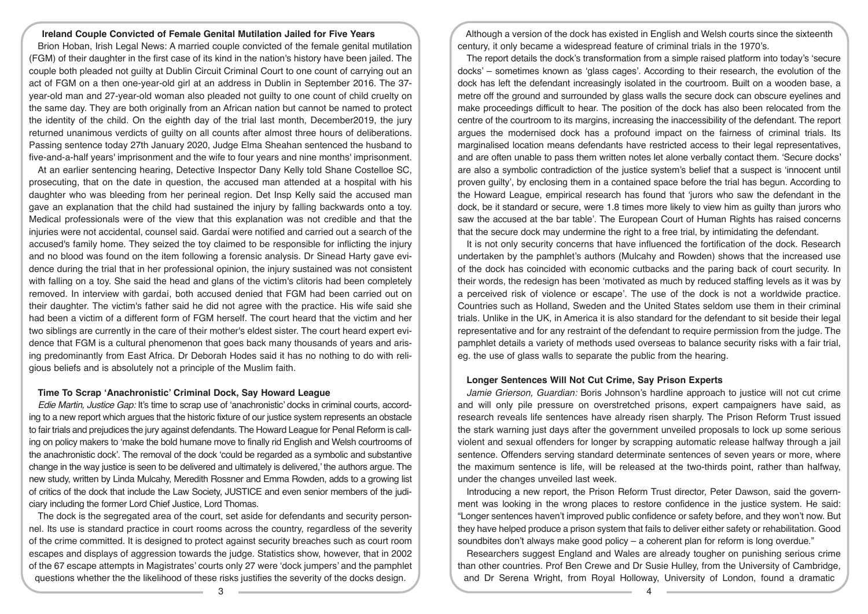#### **Ireland Couple Convicted of Female Genital Mutilation Jailed for Five Years**

Brion Hoban, Irish Legal News: A married couple convicted of the female genital mutilation (FGM) of their daughter in the first case of its kind in the nation's history have been jailed. The couple both pleaded not guilty at Dublin Circuit Criminal Court to one count of carrying out an act of FGM on a then one-year-old girl at an address in Dublin in September 2016. The 37 year-old man and 27-year-old woman also pleaded not guilty to one count of child cruelty on the same day. They are both originally from an African nation but cannot be named to protect the identity of the child. On the eighth day of the trial last month, December2019, the jury returned unanimous verdicts of guilty on all counts after almost three hours of deliberations. Passing sentence today 27th January 2020, Judge Elma Sheahan sentenced the husband to five-and-a-half years' imprisonment and the wife to four years and nine months' imprisonment.

At an earlier sentencing hearing, Detective Inspector Dany Kelly told Shane Costelloe SC, prosecuting, that on the date in question, the accused man attended at a hospital with his daughter who was bleeding from her perineal region. Det Insp Kelly said the accused man gave an explanation that the child had sustained the injury by falling backwards onto a toy. Medical professionals were of the view that this explanation was not credible and that the injuries were not accidental, counsel said. Gardaí were notified and carried out a search of the accused's family home. They seized the toy claimed to be responsible for inflicting the injury and no blood was found on the item following a forensic analysis. Dr Sinead Harty gave evidence during the trial that in her professional opinion, the injury sustained was not consistent with falling on a toy. She said the head and glans of the victim's clitoris had been completely removed. In interview with gardaí, both accused denied that FGM had been carried out on their daughter. The victim's father said he did not agree with the practice. His wife said she had been a victim of a different form of FGM herself. The court heard that the victim and her two siblings are currently in the care of their mother's eldest sister. The court heard expert evidence that FGM is a cultural phenomenon that goes back many thousands of years and arising predominantly from East Africa. Dr Deborah Hodes said it has no nothing to do with religious beliefs and is absolutely not a principle of the Muslim faith.

# **Time To Scrap 'Anachronistic' Criminal Dock, Say Howard League**

*Edie Martin, Justice Gap:* It's time to scrap use of 'anachronistic' docks in criminal courts, according to a new report which argues that the historic fixture of our justice system represents an obstacle to fair trials and prejudices the jury against defendants. The Howard League for Penal Reform is calling on policy makers to 'make the bold humane move to finally rid English and Welsh courtrooms of the anachronistic dock'. The removal of the dock 'could be regarded as a symbolic and substantive change in the way justice is seen to be delivered and ultimately is delivered,' the authors argue. The new study, written by Linda Mulcahy, Meredith Rossner and Emma Rowden, adds to a growing list of critics of the dock that include the Law Society, JUSTICE and even senior members of the judiciary including the former Lord Chief Justice, Lord Thomas.

The dock is the segregated area of the court, set aside for defendants and security personnel. Its use is standard practice in court rooms across the country, regardless of the severity of the crime committed. It is designed to protect against security breaches such as court room escapes and displays of aggression towards the judge. Statistics show, however, that in 2002 of the 67 escape attempts in Magistrates' courts only 27 were 'dock jumpers' and the pamphlet questions whether the the likelihood of these risks justifies the severity of the docks design.

Although a version of the dock has existed in English and Welsh courts since the sixteenth century, it only became a widespread feature of criminal trials in the 1970's.

The report details the dock's transformation from a simple raised platform into today's 'secure docks' – sometimes known as 'glass cages'. According to their research, the evolution of the dock has left the defendant increasingly isolated in the courtroom. Built on a wooden base, a metre off the ground and surrounded by glass walls the secure dock can obscure eyelines and make proceedings difficult to hear. The position of the dock has also been relocated from the centre of the courtroom to its margins, increasing the inaccessibility of the defendant. The report argues the modernised dock has a profound impact on the fairness of criminal trials. Its marginalised location means defendants have restricted access to their legal representatives, and are often unable to pass them written notes let alone verbally contact them. 'Secure docks' are also a symbolic contradiction of the justice system's belief that a suspect is 'innocent until proven guilty', by enclosing them in a contained space before the trial has begun. According to the Howard League, empirical research has found that 'jurors who saw the defendant in the dock, be it standard or secure, were 1.8 times more likely to view him as guilty than jurors who saw the accused at the bar table'. The European Court of Human Rights has raised concerns that the secure dock may undermine the right to a free trial, by intimidating the defendant.

It is not only security concerns that have influenced the fortification of the dock. Research undertaken by the pamphlet's authors (Mulcahy and Rowden) shows that the increased use of the dock has coincided with economic cutbacks and the paring back of court security. In their words, the redesign has been 'motivated as much by reduced staffing levels as it was by a perceived risk of violence or escape'. The use of the dock is not a worldwide practice. Countries such as Holland, Sweden and the United States seldom use them in their criminal trials. Unlike in the UK, in America it is also standard for the defendant to sit beside their legal representative and for any restraint of the defendant to require permission from the judge. The pamphlet details a variety of methods used overseas to balance security risks with a fair trial, eg. the use of glass walls to separate the public from the hearing.

### **Longer Sentences Will Not Cut Crime, Say Prison Experts**

*Jamie Grierson, Guardian:* Boris Johnson's hardline approach to justice will not cut crime and will only pile pressure on overstretched prisons, expert campaigners have said, as research reveals life sentences have already risen sharply. The Prison Reform Trust issued the stark warning just days after the government unveiled proposals to lock up some serious violent and sexual offenders for longer by scrapping automatic release halfway through a jail sentence. Offenders serving standard determinate sentences of seven years or more, where the maximum sentence is life, will be released at the two-thirds point, rather than halfway, under the changes unveiled last week.

Introducing a new report, the Prison Reform Trust director, Peter Dawson, said the government was looking in the wrong places to restore confidence in the justice system. He said: "Longer sentences haven't improved public confidence or safety before, and they won't now. But they have helped produce a prison system that fails to deliver either safety or rehabilitation. Good soundbites don't always make good policy – a coherent plan for reform is long overdue."

Researchers suggest England and Wales are already tougher on punishing serious crime than other countries. Prof Ben Crewe and Dr Susie Hulley, from the University of Cambridge, and Dr Serena Wright, from Royal Holloway, University of London, found a dramatic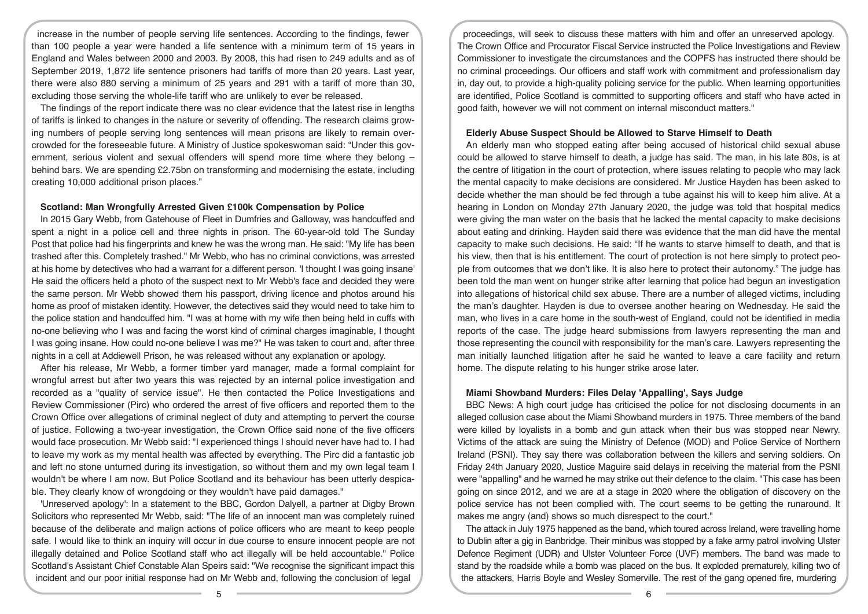increase in the number of people serving life sentences. According to the findings, fewer than 100 people a year were handed a life sentence with a minimum term of 15 years in England and Wales between 2000 and 2003. By 2008, this had risen to 249 adults and as of September 2019, 1,872 life sentence prisoners had tariffs of more than 20 years. Last year, there were also 880 serving a minimum of 25 years and 291 with a tariff of more than 30, excluding those serving the whole-life tariff who are unlikely to ever be released.

The findings of the report indicate there was no clear evidence that the latest rise in lengths of tariffs is linked to changes in the nature or severity of offending. The research claims growing numbers of people serving long sentences will mean prisons are likely to remain overcrowded for the foreseeable future. A Ministry of Justice spokeswoman said: "Under this government, serious violent and sexual offenders will spend more time where they belong – behind bars. We are spending £2.75bn on transforming and modernising the estate, including creating 10,000 additional prison places."

#### **Scotland: Man Wrongfully Arrested Given £100k Compensation by Police**

In 2015 Gary Webb, from Gatehouse of Fleet in Dumfries and Galloway, was handcuffed and spent a night in a police cell and three nights in prison. The 60-year-old told The Sunday Post that police had his fingerprints and knew he was the wrong man. He said: "My life has been trashed after this. Completely trashed." Mr Webb, who has no criminal convictions, was arrested at his home by detectives who had a warrant for a different person. 'I thought I was going insane' He said the officers held a photo of the suspect next to Mr Webb's face and decided they were the same person. Mr Webb showed them his passport, driving licence and photos around his home as proof of mistaken identity. However, the detectives said they would need to take him to the police station and handcuffed him. "I was at home with my wife then being held in cuffs with no-one believing who I was and facing the worst kind of criminal charges imaginable, I thought I was going insane. How could no-one believe I was me?" He was taken to court and, after three nights in a cell at Addiewell Prison, he was released without any explanation or apology.

After his release, Mr Webb, a former timber yard manager, made a formal complaint for wrongful arrest but after two years this was rejected by an internal police investigation and recorded as a "quality of service issue". He then contacted the Police Investigations and Review Commissioner (Pirc) who ordered the arrest of five officers and reported them to the Crown Office over allegations of criminal neglect of duty and attempting to pervert the course of justice. Following a two-year investigation, the Crown Office said none of the five officers would face prosecution. Mr Webb said: "I experienced things I should never have had to. I had to leave my work as my mental health was affected by everything. The Pirc did a fantastic job and left no stone unturned during its investigation, so without them and my own legal team I wouldn't be where I am now. But Police Scotland and its behaviour has been utterly despicable. They clearly know of wrongdoing or they wouldn't have paid damages."

'Unreserved apology': In a statement to the BBC, Gordon Dalyell, a partner at Digby Brown Solicitors who represented Mr Webb, said: "The life of an innocent man was completely ruined because of the deliberate and malign actions of police officers who are meant to keep people safe. I would like to think an inquiry will occur in due course to ensure innocent people are not illegally detained and Police Scotland staff who act illegally will be held accountable." Police Scotland's Assistant Chief Constable Alan Speirs said: "We recognise the significant impact this incident and our poor initial response had on Mr Webb and, following the conclusion of legal

proceedings, will seek to discuss these matters with him and offer an unreserved apology. The Crown Office and Procurator Fiscal Service instructed the Police Investigations and Review Commissioner to investigate the circumstances and the COPFS has instructed there should be no criminal proceedings. Our officers and staff work with commitment and professionalism day in, day out, to provide a high-quality policing service for the public. When learning opportunities are identified, Police Scotland is committed to supporting officers and staff who have acted in good faith, however we will not comment on internal misconduct matters."

### **Elderly Abuse Suspect Should be Allowed to Starve Himself to Death**

An elderly man who stopped eating after being accused of historical child sexual abuse could be allowed to starve himself to death, a judge has said. The man, in his late 80s, is at the centre of litigation in the court of protection, where issues relating to people who may lack the mental capacity to make decisions are considered. Mr Justice Hayden has been asked to decide whether the man should be fed through a tube against his will to keep him alive. At a hearing in London on Monday 27th January 2020, the judge was told that hospital medics were giving the man water on the basis that he lacked the mental capacity to make decisions about eating and drinking. Hayden said there was evidence that the man did have the mental capacity to make such decisions. He said: "If he wants to starve himself to death, and that is his view, then that is his entitlement. The court of protection is not here simply to protect people from outcomes that we don't like. It is also here to protect their autonomy." The judge has been told the man went on hunger strike after learning that police had begun an investigation into allegations of historical child sex abuse. There are a number of alleged victims, including the man's daughter. Hayden is due to oversee another hearing on Wednesday. He said the man, who lives in a care home in the south-west of England, could not be identified in media reports of the case. The judge heard submissions from lawyers representing the man and those representing the council with responsibility for the man's care. Lawyers representing the man initially launched litigation after he said he wanted to leave a care facility and return home. The dispute relating to his hunger strike arose later.

# **Miami Showband Murders: Files Delay 'Appalling', Says Judge**

BBC News: A high court judge has criticised the police for not disclosing documents in an alleged collusion case about the Miami Showband murders in 1975. Three members of the band were killed by loyalists in a bomb and gun attack when their bus was stopped near Newry. Victims of the attack are suing the Ministry of Defence (MOD) and Police Service of Northern Ireland (PSNI). They say there was collaboration between the killers and serving soldiers. On Friday 24th January 2020, Justice Maguire said delays in receiving the material from the PSNI were "appalling" and he warned he may strike out their defence to the claim. "This case has been going on since 2012, and we are at a stage in 2020 where the obligation of discovery on the police service has not been complied with. The court seems to be getting the runaround. It makes me angry (and) shows so much disrespect to the court."

The attack in July 1975 happened as the band, which toured across Ireland, were travelling home to Dublin after a gig in Banbridge. Their minibus was stopped by a fake army patrol involving Ulster Defence Regiment (UDR) and Ulster Volunteer Force (UVF) members. The band was made to stand by the roadside while a bomb was placed on the bus. It exploded prematurely, killing two of the attackers, Harris Boyle and Wesley Somerville. The rest of the gang opened fire, murdering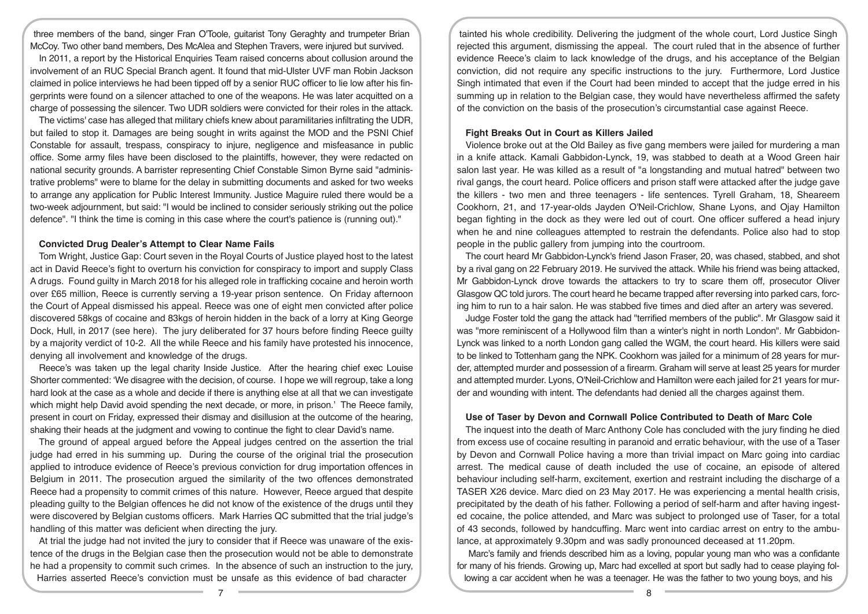three members of the band, singer Fran O'Toole, guitarist Tony Geraghty and trumpeter Brian McCoy. Two other band members, Des McAlea and Stephen Travers, were injured but survived.

In 2011, a report by the Historical Enquiries Team raised concerns about collusion around the involvement of an RUC Special Branch agent. It found that mid-Ulster UVF man Robin Jackson claimed in police interviews he had been tipped off by a senior RUC officer to lie low after his fingerprints were found on a silencer attached to one of the weapons. He was later acquitted on a charge of possessing the silencer. Two UDR soldiers were convicted for their roles in the attack.

The victims' case has alleged that military chiefs knew about paramilitaries infiltrating the UDR, but failed to stop it. Damages are being sought in writs against the MOD and the PSNI Chief Constable for assault, trespass, conspiracy to injure, negligence and misfeasance in public office. Some army files have been disclosed to the plaintiffs, however, they were redacted on national security grounds. A barrister representing Chief Constable Simon Byrne said "administrative problems" were to blame for the delay in submitting documents and asked for two weeks to arrange any application for Public Interest Immunity. Justice Maguire ruled there would be a two-week adjournment, but said: "I would be inclined to consider seriously striking out the police defence". "I think the time is coming in this case where the court's patience is (running out)."

### **Convicted Drug Dealer's Attempt to Clear Name Fails**

Tom Wright, Justice Gap: Court seven in the Royal Courts of Justice played host to the latest act in David Reece's fight to overturn his conviction for conspiracy to import and supply Class A drugs. Found guilty in March 2018 for his alleged role in trafficking cocaine and heroin worth over £65 million, Reece is currently serving a 19-year prison sentence. On Friday afternoon the Court of Appeal dismissed his appeal. Reece was one of eight men convicted after police discovered 58kgs of cocaine and 83kgs of heroin hidden in the back of a lorry at King George Dock, Hull, in 2017 (see here). The jury deliberated for 37 hours before finding Reece guilty by a majority verdict of 10-2. All the while Reece and his family have protested his innocence, denying all involvement and knowledge of the drugs.

Reece's was taken up the legal charity Inside Justice. After the hearing chief exec Louise Shorter commented: 'We disagree with the decision, of course. I hope we will regroup, take a long hard look at the case as a whole and decide if there is anything else at all that we can investigate which might help David avoid spending the next decade, or more, in prison.' The Reece family, present in court on Friday, expressed their dismay and disillusion at the outcome of the hearing, shaking their heads at the judgment and vowing to continue the fight to clear David's name.

The ground of appeal argued before the Appeal judges centred on the assertion the trial judge had erred in his summing up. During the course of the original trial the prosecution applied to introduce evidence of Reece's previous conviction for drug importation offences in Belgium in 2011. The prosecution argued the similarity of the two offences demonstrated Reece had a propensity to commit crimes of this nature. However, Reece argued that despite pleading guilty to the Belgian offences he did not know of the existence of the drugs until they were discovered by Belgian customs officers. Mark Harries QC submitted that the trial judge's handling of this matter was deficient when directing the jury.

At trial the judge had not invited the jury to consider that if Reece was unaware of the existence of the drugs in the Belgian case then the prosecution would not be able to demonstrate he had a propensity to commit such crimes. In the absence of such an instruction to the jury, Harries asserted Reece's conviction must be unsafe as this evidence of bad character

tainted his whole credibility. Delivering the judgment of the whole court, Lord Justice Singh rejected this argument, dismissing the appeal. The court ruled that in the absence of further evidence Reece's claim to lack knowledge of the drugs, and his acceptance of the Belgian conviction, did not require any specific instructions to the jury. Furthermore, Lord Justice Singh intimated that even if the Court had been minded to accept that the judge erred in his summing up in relation to the Belgian case, they would have nevertheless affirmed the safety of the conviction on the basis of the prosecution's circumstantial case against Reece.

# **Fight Breaks Out in Court as Killers Jailed**

Violence broke out at the Old Bailey as five gang members were jailed for murdering a man in a knife attack. Kamali Gabbidon-Lynck, 19, was stabbed to death at a Wood Green hair salon last year. He was killed as a result of "a longstanding and mutual hatred" between two rival gangs, the court heard. Police officers and prison staff were attacked after the judge gave the killers - two men and three teenagers - life sentences. Tyrell Graham, 18, Sheareem Cookhorn, 21, and 17-year-olds Jayden O'Neil-Crichlow, Shane Lyons, and Ojay Hamilton began fighting in the dock as they were led out of court. One officer suffered a head injury when he and nine colleagues attempted to restrain the defendants. Police also had to stop people in the public gallery from jumping into the courtroom.

The court heard Mr Gabbidon-Lynck's friend Jason Fraser, 20, was chased, stabbed, and shot by a rival gang on 22 February 2019. He survived the attack. While his friend was being attacked, Mr Gabbidon-Lynck drove towards the attackers to try to scare them off, prosecutor Oliver Glasgow QC told jurors. The court heard he became trapped after reversing into parked cars, forcing him to run to a hair salon. He was stabbed five times and died after an artery was severed.

Judge Foster told the gang the attack had "terrified members of the public". Mr Glasgow said it was "more reminiscent of a Hollywood film than a winter's night in north London". Mr Gabbidon-Lynck was linked to a north London gang called the WGM, the court heard. His killers were said to be linked to Tottenham gang the NPK. Cookhorn was jailed for a minimum of 28 years for murder, attempted murder and possession of a firearm. Graham will serve at least 25 years for murder and attempted murder. Lyons, O'Neil-Crichlow and Hamilton were each jailed for 21 years for murder and wounding with intent. The defendants had denied all the charges against them.

# **Use of Taser by Devon and Cornwall Police Contributed to Death of Marc Cole**

The inquest into the death of Marc Anthony Cole has concluded with the jury finding he died from excess use of cocaine resulting in paranoid and erratic behaviour, with the use of a Taser by Devon and Cornwall Police having a more than trivial impact on Marc going into cardiac arrest. The medical cause of death included the use of cocaine, an episode of altered behaviour including self-harm, excitement, exertion and restraint including the discharge of a TASER X26 device. Marc died on 23 May 2017. He was experiencing a mental health crisis, precipitated by the death of his father. Following a period of self-harm and after having ingested cocaine, the police attended, and Marc was subject to prolonged use of Taser, for a total of 43 seconds, followed by handcuffing. Marc went into cardiac arrest on entry to the ambulance, at approximately 9.30pm and was sadly pronounced deceased at 11.20pm.

 Marc's family and friends described him as a loving, popular young man who was a confidante for many of his friends. Growing up, Marc had excelled at sport but sadly had to cease playing following a car accident when he was a teenager. He was the father to two young boys, and his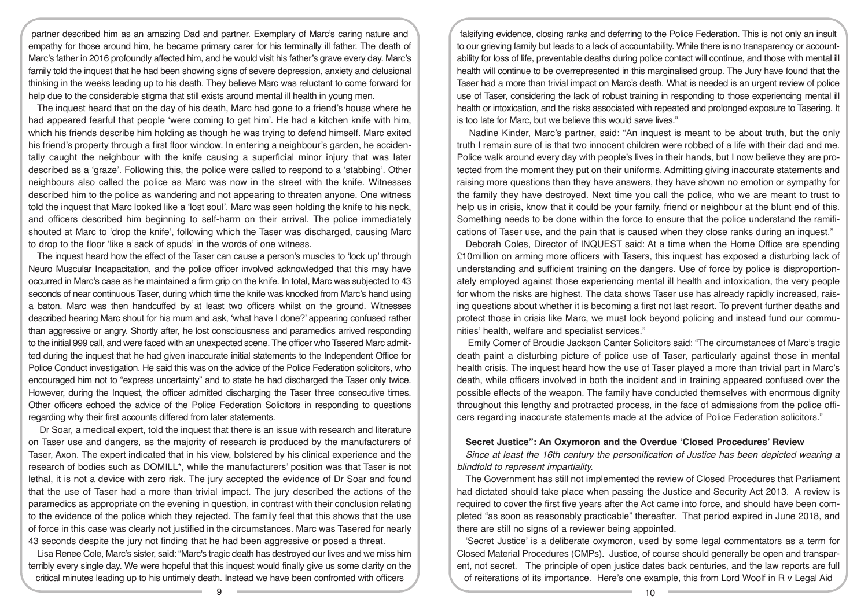partner described him as an amazing Dad and partner. Exemplary of Marc's caring nature and empathy for those around him, he became primary carer for his terminally ill father. The death of Marc's father in 2016 profoundly affected him, and he would visit his father's grave every day. Marc's family told the inquest that he had been showing signs of severe depression, anxiety and delusional thinking in the weeks leading up to his death. They believe Marc was reluctant to come forward for help due to the considerable stigma that still exists around mental ill health in young men.

The inquest heard that on the day of his death, Marc had gone to a friend's house where he had appeared fearful that people 'were coming to get him'. He had a kitchen knife with him, which his friends describe him holding as though he was trying to defend himself. Marc exited his friend's property through a first floor window. In entering a neighbour's garden, he accidentally caught the neighbour with the knife causing a superficial minor injury that was later described as a 'graze'. Following this, the police were called to respond to a 'stabbing'. Other neighbours also called the police as Marc was now in the street with the knife. Witnesses described him to the police as wandering and not appearing to threaten anyone. One witness told the inquest that Marc looked like a 'lost soul'. Marc was seen holding the knife to his neck, and officers described him beginning to self-harm on their arrival. The police immediately shouted at Marc to 'drop the knife', following which the Taser was discharged, causing Marc to drop to the floor 'like a sack of spuds' in the words of one witness.

The inquest heard how the effect of the Taser can cause a person's muscles to 'lock up' through Neuro Muscular Incapacitation, and the police officer involved acknowledged that this may have occurred in Marc's case as he maintained a firm grip on the knife. In total, Marc was subjected to 43 seconds of near continuous Taser, during which time the knife was knocked from Marc's hand using a baton. Marc was then handcuffed by at least two officers whilst on the ground. Witnesses described hearing Marc shout for his mum and ask, 'what have I done?' appearing confused rather than aggressive or angry. Shortly after, he lost consciousness and paramedics arrived responding to the initial 999 call, and were faced with an unexpected scene. The officer who Tasered Marc admitted during the inquest that he had given inaccurate initial statements to the Independent Office for Police Conduct investigation. He said this was on the advice of the Police Federation solicitors, who encouraged him not to "express uncertainty" and to state he had discharged the Taser only twice. However, during the Inquest, the officer admitted discharging the Taser three consecutive times. Other officers echoed the advice of the Police Federation Solicitors in responding to questions regarding why their first accounts differed from later statements.

 Dr Soar, a medical expert, told the inquest that there is an issue with research and literature on Taser use and dangers, as the majority of research is produced by the manufacturers of Taser, Axon. The expert indicated that in his view, bolstered by his clinical experience and the research of bodies such as DOMILL\*, while the manufacturers' position was that Taser is not lethal, it is not a device with zero risk. The jury accepted the evidence of Dr Soar and found that the use of Taser had a more than trivial impact. The jury described the actions of the paramedics as appropriate on the evening in question, in contrast with their conclusion relating to the evidence of the police which they rejected. The family feel that this shows that the use of force in this case was clearly not justified in the circumstances. Marc was Tasered for nearly 43 seconds despite the jury not finding that he had been aggressive or posed a threat.

Lisa Renee Cole, Marc's sister, said: "Marc's tragic death has destroyed our lives and we miss him terribly every single day. We were hopeful that this inquest would finally give us some clarity on the critical minutes leading up to his untimely death. Instead we have been confronted with officers

falsifying evidence, closing ranks and deferring to the Police Federation. This is not only an insult to our grieving family but leads to a lack of accountability. While there is no transparency or accountability for loss of life, preventable deaths during police contact will continue, and those with mental ill health will continue to be overrepresented in this marginalised group. The Jury have found that the Taser had a more than trivial impact on Marc's death. What is needed is an urgent review of police use of Taser, considering the lack of robust training in responding to those experiencing mental ill health or intoxication, and the risks associated with repeated and prolonged exposure to Tasering. It is too late for Marc, but we believe this would save lives."

 Nadine Kinder, Marc's partner, said: "An inquest is meant to be about truth, but the only truth I remain sure of is that two innocent children were robbed of a life with their dad and me. Police walk around every day with people's lives in their hands, but I now believe they are protected from the moment they put on their uniforms. Admitting giving inaccurate statements and raising more questions than they have answers, they have shown no emotion or sympathy for the family they have destroyed. Next time you call the police, who we are meant to trust to help us in crisis, know that it could be your family, friend or neighbour at the blunt end of this. Something needs to be done within the force to ensure that the police understand the ramifications of Taser use, and the pain that is caused when they close ranks during an inquest."

Deborah Coles, Director of INQUEST said: At a time when the Home Office are spending £10million on arming more officers with Tasers, this inquest has exposed a disturbing lack of understanding and sufficient training on the dangers. Use of force by police is disproportionately employed against those experiencing mental ill health and intoxication, the very people for whom the risks are highest. The data shows Taser use has already rapidly increased, raising questions about whether it is becoming a first not last resort. To prevent further deaths and protect those in crisis like Marc, we must look beyond policing and instead fund our communities' health, welfare and specialist services."

 Emily Comer of Broudie Jackson Canter Solicitors said: "The circumstances of Marc's tragic death paint a disturbing picture of police use of Taser, particularly against those in mental health crisis. The inquest heard how the use of Taser played a more than trivial part in Marc's death, while officers involved in both the incident and in training appeared confused over the possible effects of the weapon. The family have conducted themselves with enormous dignity throughout this lengthy and protracted process, in the face of admissions from the police officers regarding inaccurate statements made at the advice of Police Federation solicitors."

#### **Secret Justice": An Oxymoron and the Overdue 'Closed Procedures' Review**

*Since at least the 16th century the personification of Justice has been depicted wearing a blindfold to represent impartiality.* 

The Government has still not implemented the review of Closed Procedures that Parliament had dictated should take place when passing the Justice and Security Act 2013. A review is required to cover the first five years after the Act came into force, and should have been completed "as soon as reasonably practicable" thereafter. That period expired in June 2018, and there are still no signs of a reviewer being appointed.

'Secret Justice' is a deliberate oxymoron, used by some legal commentators as a term for Closed Material Procedures (CMPs). Justice, of course should generally be open and transparent, not secret. The principle of open justice dates back centuries, and the law reports are full of reiterations of its importance. Here's one example, this from Lord Woolf in R v Legal Aid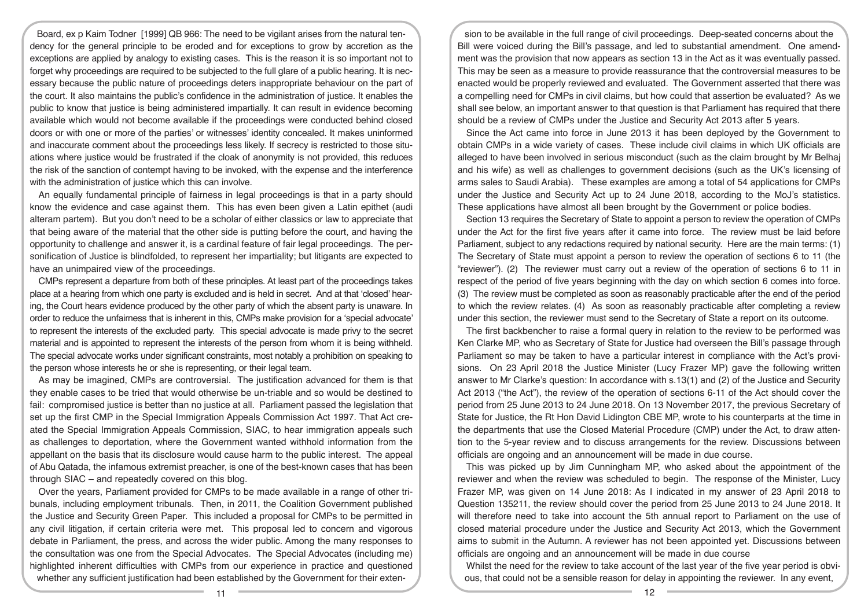Board, ex p Kaim Todner [1999] QB 966: The need to be vigilant arises from the natural tendency for the general principle to be eroded and for exceptions to grow by accretion as the exceptions are applied by analogy to existing cases. This is the reason it is so important not to forget why proceedings are required to be subjected to the full glare of a public hearing. It is necessary because the public nature of proceedings deters inappropriate behaviour on the part of the court. It also maintains the public's confidence in the administration of justice. It enables the public to know that justice is being administered impartially. It can result in evidence becoming available which would not become available if the proceedings were conducted behind closed doors or with one or more of the parties' or witnesses' identity concealed. It makes uninformed and inaccurate comment about the proceedings less likely. If secrecy is restricted to those situations where justice would be frustrated if the cloak of anonymity is not provided, this reduces the risk of the sanction of contempt having to be invoked, with the expense and the interference with the administration of justice which this can involve.

An equally fundamental principle of fairness in legal proceedings is that in a party should know the evidence and case against them. This has even been given a Latin epithet (audi alteram partem). But you don't need to be a scholar of either classics or law to appreciate that that being aware of the material that the other side is putting before the court, and having the opportunity to challenge and answer it, is a cardinal feature of fair legal proceedings. The personification of Justice is blindfolded, to represent her impartiality; but litigants are expected to have an unimpaired view of the proceedings.

CMPs represent a departure from both of these principles. At least part of the proceedings takes place at a hearing from which one party is excluded and is held in secret. And at that 'closed' hearing, the Court hears evidence produced by the other party of which the absent party is unaware. In order to reduce the unfairness that is inherent in this, CMPs make provision for a 'special advocate' to represent the interests of the excluded party. This special advocate is made privy to the secret material and is appointed to represent the interests of the person from whom it is being withheld. The special advocate works under significant constraints, most notably a prohibition on speaking to the person whose interests he or she is representing, or their legal team.

As may be imagined, CMPs are controversial. The justification advanced for them is that they enable cases to be tried that would otherwise be un-triable and so would be destined to fail: compromised justice is better than no justice at all. Parliament passed the legislation that set up the first CMP in the Special Immigration Appeals Commission Act 1997. That Act created the Special Immigration Appeals Commission, SIAC, to hear immigration appeals such as challenges to deportation, where the Government wanted withhold information from the appellant on the basis that its disclosure would cause harm to the public interest. The appeal of Abu Qatada, the infamous extremist preacher, is one of the best-known cases that has been through SIAC – and repeatedly covered on this blog.

Over the years, Parliament provided for CMPs to be made available in a range of other tribunals, including employment tribunals. Then, in 2011, the Coalition Government published the Justice and Security Green Paper. This included a proposal for CMPs to be permitted in any civil litigation, if certain criteria were met. This proposal led to concern and vigorous debate in Parliament, the press, and across the wider public. Among the many responses to the consultation was one from the Special Advocates. The Special Advocates (including me) highlighted inherent difficulties with CMPs from our experience in practice and questioned whether any sufficient justification had been established by the Government for their exten-

sion to be available in the full range of civil proceedings. Deep-seated concerns about the Bill were voiced during the Bill's passage, and led to substantial amendment. One amendment was the provision that now appears as section 13 in the Act as it was eventually passed. This may be seen as a measure to provide reassurance that the controversial measures to be enacted would be properly reviewed and evaluated. The Government asserted that there was a compelling need for CMPs in civil claims, but how could that assertion be evaluated? As we shall see below, an important answer to that question is that Parliament has required that there should be a review of CMPs under the Justice and Security Act 2013 after 5 years.

Since the Act came into force in June 2013 it has been deployed by the Government to obtain CMPs in a wide variety of cases. These include civil claims in which UK officials are alleged to have been involved in serious misconduct (such as the claim brought by Mr Belhaj and his wife) as well as challenges to government decisions (such as the UK's licensing of arms sales to Saudi Arabia). These examples are among a total of 54 applications for CMPs under the Justice and Security Act up to 24 June 2018, according to the MoJ's statistics. These applications have almost all been brought by the Government or police bodies.

Section 13 requires the Secretary of State to appoint a person to review the operation of CMPs under the Act for the first five years after it came into force. The review must be laid before Parliament, subject to any redactions required by national security. Here are the main terms: (1) The Secretary of State must appoint a person to review the operation of sections 6 to 11 (the "reviewer"). (2) The reviewer must carry out a review of the operation of sections 6 to 11 in respect of the period of five years beginning with the day on which section 6 comes into force. (3) The review must be completed as soon as reasonably practicable after the end of the period to which the review relates. (4) As soon as reasonably practicable after completing a review under this section, the reviewer must send to the Secretary of State a report on its outcome.

The first backbencher to raise a formal query in relation to the review to be performed was Ken Clarke MP, who as Secretary of State for Justice had overseen the Bill's passage through Parliament so may be taken to have a particular interest in compliance with the Act's provisions. On 23 April 2018 the Justice Minister (Lucy Frazer MP) gave the following written answer to Mr Clarke's question: In accordance with s.13(1) and (2) of the Justice and Security Act 2013 ("the Act"), the review of the operation of sections 6-11 of the Act should cover the period from 25 June 2013 to 24 June 2018. On 13 November 2017, the previous Secretary of State for Justice, the Rt Hon David Lidington CBE MP, wrote to his counterparts at the time in the departments that use the Closed Material Procedure (CMP) under the Act, to draw attention to the 5-year review and to discuss arrangements for the review. Discussions between officials are ongoing and an announcement will be made in due course.

This was picked up by Jim Cunningham MP, who asked about the appointment of the reviewer and when the review was scheduled to begin. The response of the Minister, Lucy Frazer MP, was given on 14 June 2018: As I indicated in my answer of 23 April 2018 to Question 135211, the review should cover the period from 25 June 2013 to 24 June 2018. It will therefore need to take into account the 5th annual report to Parliament on the use of closed material procedure under the Justice and Security Act 2013, which the Government aims to submit in the Autumn. A reviewer has not been appointed yet. Discussions between officials are ongoing and an announcement will be made in due course

Whilst the need for the review to take account of the last year of the five year period is obvious, that could not be a sensible reason for delay in appointing the reviewer. In any event,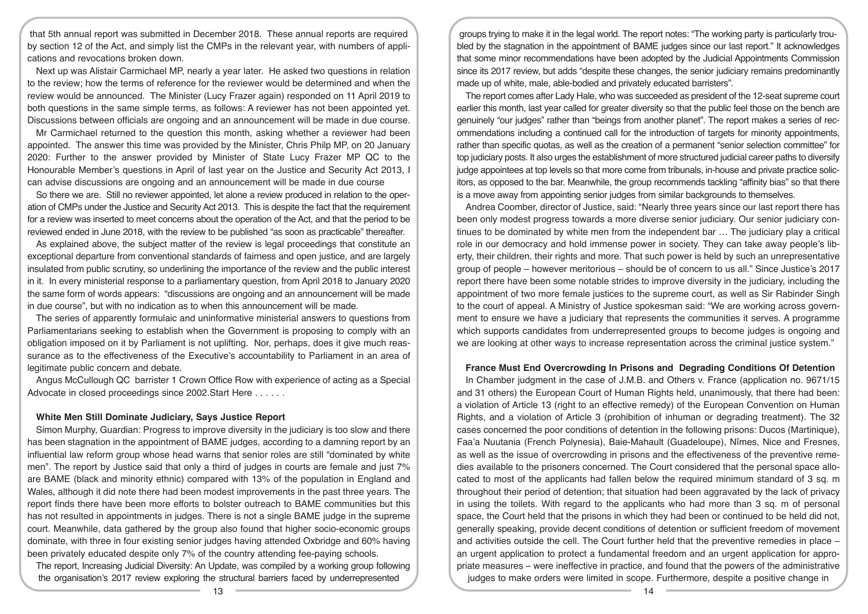that 5th annual report was submitted in December 2018. These annual reports are required by section 12 of the Act, and simply list the CMPs in the relevant year, with numbers of applications and revocations broken down.

Next up was Alistair Carmichael MP, nearly a year later. He asked two questions in relation to the review; how the terms of reference for the reviewer would be determined and when the review would be announced. The Minister (Lucy Frazer again) responded on 11 April 2019 to both questions in the same simple terms, as follows: A reviewer has not been appointed yet. Discussions between officials are ongoing and an announcement will be made in due course.

Mr Carmichael returned to the question this month, asking whether a reviewer had been appointed. The answer this time was provided by the Minister, Chris Philp MP, on 20 January 2020: Further to the answer provided by Minister of State Lucy Frazer MP QC to the Honourable Member's questions in April of last year on the Justice and Security Act 2013, I can advise discussions are ongoing and an announcement will be made in due course

So there we are. Still no reviewer appointed, let alone a review produced in relation to the operation of CMPs under the Justice and Security Act 2013. This is despite the fact that the requirement for a review was inserted to meet concerns about the operation of the Act, and that the period to be reviewed ended in June 2018, with the review to be published "as soon as practicable" thereafter.

As explained above, the subject matter of the review is legal proceedings that constitute an exceptional departure from conventional standards of fairness and open justice, and are largely insulated from public scrutiny, so underlining the importance of the review and the public interest in it. In every ministerial response to a parliamentary question, from April 2018 to January 2020 the same form of words appears: "discussions are ongoing and an announcement will be made in due course", but with no indication as to when this announcement will be made.

The series of apparently formulaic and uninformative ministerial answers to questions from Parliamentarians seeking to establish when the Government is proposing to comply with an obligation imposed on it by Parliament is not uplifting. Nor, perhaps, does it give much reassurance as to the effectiveness of the Executive's accountability to Parliament in an area of legitimate public concern and debate.

Angus McCullough QC barrister 1 Crown Office Row with experience of acting as a Special Advocate in closed proceedings since 2002.Start Here . . . . . .

#### **White Men Still Dominate Judiciary, Says Justice Report**

Simon Murphy, Guardian: Progress to improve diversity in the judiciary is too slow and there has been stagnation in the appointment of BAME judges, according to a damning report by an influential law reform group whose head warns that senior roles are still "dominated by white men". The report by Justice said that only a third of judges in courts are female and just 7% are BAME (black and minority ethnic) compared with 13% of the population in England and Wales, although it did note there had been modest improvements in the past three years. The report finds there have been more efforts to bolster outreach to BAME communities but this has not resulted in appointments in judges. There is not a single BAME judge in the supreme court. Meanwhile, data gathered by the group also found that higher socio-economic groups dominate, with three in four existing senior judges having attended Oxbridge and 60% having been privately educated despite only 7% of the country attending fee-paying schools.

The report, Increasing Judicial Diversity: An Update, was compiled by a working group following the organisation's 2017 review exploring the structural barriers faced by underrepresented

groups trying to make it in the legal world. The report notes: "The working party is particularly troubled by the stagnation in the appointment of BAME judges since our last report." It acknowledges that some minor recommendations have been adopted by the Judicial Appointments Commission since its 2017 review, but adds "despite these changes, the senior judiciary remains predominantly made up of white, male, able-bodied and privately educated barristers".

The report comes after Lady Hale, who was succeeded as president of the 12-seat supreme court earlier this month, last year called for greater diversity so that the public feel those on the bench are genuinely "our judges" rather than "beings from another planet". The report makes a series of recommendations including a continued call for the introduction of targets for minority appointments, rather than specific quotas, as well as the creation of a permanent "senior selection committee" for top judiciary posts. It also urges the establishment of more structured judicial career paths to diversify judge appointees at top levels so that more come from tribunals, in-house and private practice solicitors, as opposed to the bar. Meanwhile, the group recommends tackling "affinity bias" so that there is a move away from appointing senior judges from similar backgrounds to themselves.

Andrea Coomber, director of Justice, said: "Nearly three years since our last report there has been only modest progress towards a more diverse senior judiciary. Our senior judiciary continues to be dominated by white men from the independent bar … The judiciary play a critical role in our democracy and hold immense power in society. They can take away people's liberty, their children, their rights and more. That such power is held by such an unrepresentative group of people – however meritorious – should be of concern to us all." Since Justice's 2017 report there have been some notable strides to improve diversity in the judiciary, including the appointment of two more female justices to the supreme court, as well as Sir Rabinder Singh to the court of appeal. A Ministry of Justice spokesman said: "We are working across government to ensure we have a judiciary that represents the communities it serves. A programme which supports candidates from underrepresented groups to become judges is ongoing and we are looking at other ways to increase representation across the criminal justice system."

#### **France Must End Overcrowding In Prisons and Degrading Conditions Of Detention**

In Chamber judgment in the case of J.M.B. and Others v. France (application no. 9671/15 and 31 others) the European Court of Human Rights held, unanimously, that there had been: a violation of Article 13 (right to an effective remedy) of the European Convention on Human Rights, and a violation of Article 3 (prohibition of inhuman or degrading treatment). The 32 cases concerned the poor conditions of detention in the following prisons: Ducos (Martinique), Faa'a Nuutania (French Polynesia), Baie-Mahault (Guadeloupe), Nîmes, Nice and Fresnes, as well as the issue of overcrowding in prisons and the effectiveness of the preventive remedies available to the prisoners concerned. The Court considered that the personal space allocated to most of the applicants had fallen below the required minimum standard of 3 sq. m throughout their period of detention; that situation had been aggravated by the lack of privacy in using the toilets. With regard to the applicants who had more than 3 sq. m of personal space, the Court held that the prisons in which they had been or continued to be held did not, generally speaking, provide decent conditions of detention or sufficient freedom of movement and activities outside the cell. The Court further held that the preventive remedies in place – an urgent application to protect a fundamental freedom and an urgent application for appropriate measures – were ineffective in practice, and found that the powers of the administrative judges to make orders were limited in scope. Furthermore, despite a positive change in